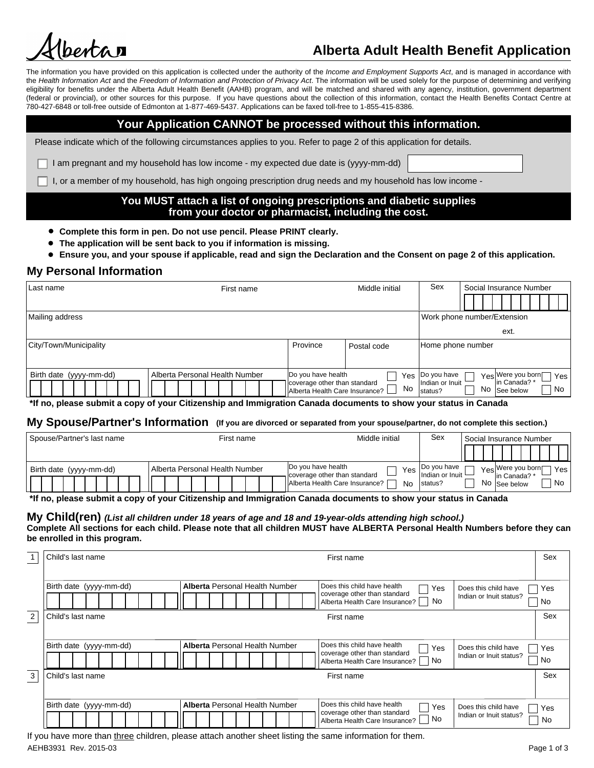

# **Alberta Adult Health Benefit Application**

The information you have provided on this application is collected under the authority of the *Income and Employment Supports Act*, and is managed in accordance with the *Health Information Act* and the *Freedom of Information and Protection of Privacy Act*. The information will be used solely for the purpose of determining and verifying eligibility for benefits under the Alberta Adult Health Benefit (AAHB) program, and will be matched and shared with any agency, institution, government department (federal or provincial), or other sources for this purpose. If you have questions about the collection of this information, contact the Health Benefits Contact Centre at 780-427-6848 or toll-free outside of Edmonton at 1-877-469-5437. Applications can be faxed toll-free to 1-855-415-8386.

## **Your Application CANNOT be processed without this information.**

Please indicate which of the following circumstances applies to you. Refer to page 2 of this application for details.

I am pregnant and my household has low income - my expected due date is (yyyy-mm-dd)

I, or a member of my household, has high ongoing prescription drug needs and my household has low income -

## **You MUST attach a list of ongoing prescriptions and diabetic supplies from your doctor or pharmacist, including the cost.**

- **Complete this form in pen. Do not use pencil. Please PRINT clearly.**
- **The application will be sent back to you if information is missing.**
- **Ensure you, and your spouse if applicable, read and sign the Declaration and the Consent on page 2 of this application.**

# **My Personal Information**

| Last name               | Middle initial<br>First name   |                                                                | Sex<br>Social Insurance Number |                            |                                      |
|-------------------------|--------------------------------|----------------------------------------------------------------|--------------------------------|----------------------------|--------------------------------------|
|                         |                                |                                                                |                                |                            |                                      |
| Mailing address         |                                |                                                                |                                |                            | Work phone number/Extension          |
|                         |                                |                                                                |                                |                            | ext.                                 |
| City/Town/Municipality  |                                | Province                                                       | Postal code                    | Home phone number          |                                      |
|                         |                                |                                                                |                                |                            |                                      |
| Birth date (yyyy-mm-dd) | Alberta Personal Health Number | Do you have health                                             | Yes i                          | Do you have                | Yes Were you born<br>Yes             |
|                         |                                | coverage other than standard<br>Alberta Health Care Insurance? | No                             | Indian or Inuit<br>status? | In Canada?'<br>No<br>No<br>See below |

**\*If no, please submit a copy of your Citizenship and Immigration Canada documents to show your status in Canada**

## **My Spouse/Partner's Information (If you are divorced or separated from your spouse/partner, do not complete this section.)**

| Spouse/Partner's last name | Middle initial<br>First name   |                                                           | Sex                              | Social Insurance Number |                                        |
|----------------------------|--------------------------------|-----------------------------------------------------------|----------------------------------|-------------------------|----------------------------------------|
|                            |                                |                                                           |                                  |                         |                                        |
| Birth date (yyyy-mm-dd)    | Alberta Personal Health Number | Do you have health<br>Yes<br>coverage other than standard | I Do vou have<br>Indian or Inuit |                         | $Yes$ <sup>Were you born</sup><br>Yesi |
|                            |                                | Alberta Health Care Insurance?<br>No                      | status?                          |                         | lin Canada?<br>No<br>No See below      |

**\*If no, please submit a copy of your Citizenship and Immigration Canada documents to show your status in Canada**

# **My Child(ren)** *(List all children under 18 years of age and 18 and 19-year-olds attending high school.)* **Complete All sections for each child. Please note that all children MUST have ALBERTA Personal Health Numbers before they can**

**be enrolled in this program.** 1 | Child's last name | Sex

| Does this child have<br>Yes<br>Indian or Inuit status?<br>No<br>Sex |
|---------------------------------------------------------------------|
|                                                                     |
|                                                                     |
|                                                                     |
| Does this child have<br>Yes<br>Indian or Inuit status?<br>No        |
| Sex                                                                 |
| Does this child have<br>Yes<br>Indian or Inuit status?              |
|                                                                     |
|                                                                     |

AEHB3931 Rev. 2015-03 Page 1 of 3 If you have more than three children, please attach another sheet listing the same information for them.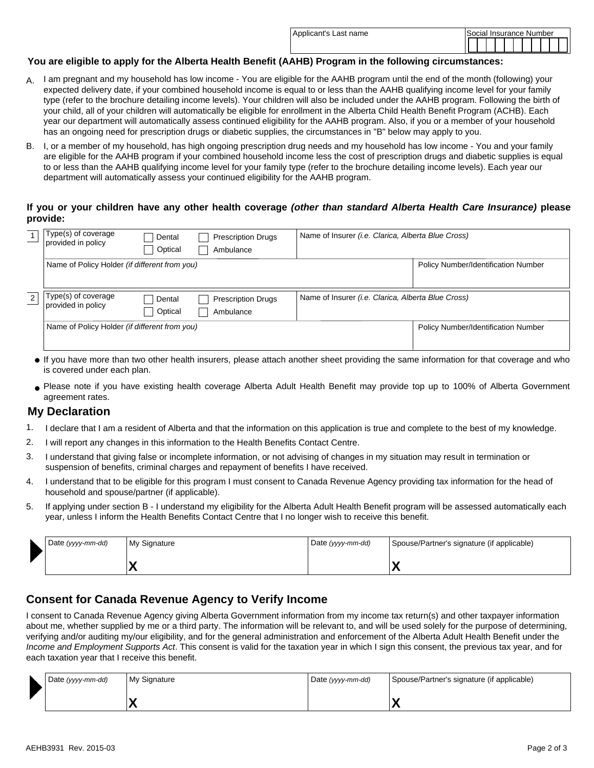| Applicant's Last name | Social Insurance Number |
|-----------------------|-------------------------|
|                       |                         |

#### **You are eligible to apply for the Alberta Health Benefit (AAHB) Program in the following circumstances:**

- A. I am pregnant and my household has low income You are eligible for the AAHB program until the end of the month (following) your expected delivery date, if your combined household income is equal to or less than the AAHB qualifying income level for your family type (refer to the brochure detailing income levels). Your children will also be included under the AAHB program. Following the birth of your child, all of your children will automatically be eligible for enrollment in the Alberta Child Health Benefit Program (ACHB). Each year our department will automatically assess continued eligibility for the AAHB program. Also, if you or a member of your household has an ongoing need for prescription drugs or diabetic supplies, the circumstances in "B" below may apply to you.
- B. J, or a member of my household, has high ongoing prescription drug needs and my household has low income You and your family are eligible for the AAHB program if your combined household income less the cost of prescription drugs and diabetic supplies is equal to or less than the AAHB qualifying income level for your family type (refer to the brochure detailing income levels). Each year our department will automatically assess your continued eligibility for the AAHB program.

#### **If you or your children have any other health coverage** *(other than standard Alberta Health Care Insurance)* **please provide:**

|   | Type(s) of coverage<br>provided in policy     | Dental<br>Optical   | <b>Prescription Drugs</b><br>Ambulance | Name of Insurer (i.e. Clarica, Alberta Blue Cross)          |                                            |
|---|-----------------------------------------------|---------------------|----------------------------------------|-------------------------------------------------------------|--------------------------------------------|
|   | Name of Policy Holder (if different from you) |                     |                                        |                                                             | <b>Policy Number/Identification Number</b> |
| 2 | Type(s) of coverage<br>provided in policy     | Dental<br>  Optical | <b>Prescription Drugs</b><br>Ambulance | Name of Insurer ( <i>i.e. Clarica, Alberta Blue Cross</i> ) |                                            |
|   | Name of Policy Holder (if different from you) |                     |                                        | <b>Policy Number/Identification Number</b>                  |                                            |

- If you have more than two other health insurers, please attach another sheet providing the same information for that coverage and who is covered under each plan.
- Please note if you have existing health coverage Alberta Adult Health Benefit may provide top up to 100% of Alberta Government agreement rates.

## **My Declaration**

- 1. I declare that I am a resident of Alberta and that the information on this application is true and complete to the best of my knowledge.
- I will report any changes in this information to the Health Benefits Contact Centre. 2.
- I understand that giving false or incomplete information, or not advising of changes in my situation may result in termination or suspension of benefits, criminal charges and repayment of benefits I have received. 3.
- I understand that to be eligible for this program I must consent to Canada Revenue Agency providing tax information for the head of household and spouse/partner (if applicable). 4.
- If applying under section B I understand my eligibility for the Alberta Adult Health Benefit program will be assessed automatically each year, unless I inform the Health Benefits Contact Centre that I no longer wish to receive this benefit. 5.

| Date (yyyy-mm-dd) | My Signature | Date (yyyy-mm-dd) | Spouse/Partner's signature (if applicable) |
|-------------------|--------------|-------------------|--------------------------------------------|
|                   |              |                   | $\overline{\phantom{a}}$                   |

## **Consent for Canada Revenue Agency to Verify Income**

I consent to Canada Revenue Agency giving Alberta Government information from my income tax return(s) and other taxpayer information about me, whether supplied by me or a third party. The information will be relevant to, and will be used solely for the purpose of determining, verifying and/or auditing my/our eligibility, and for the general administration and enforcement of the Alberta Adult Health Benefit under the *Income and Employment Supports Act*. This consent is valid for the taxation year in which I sign this consent, the previous tax year, and for each taxation year that I receive this benefit.

| Date (yyyy-mm-dd) | My Signature | Date (yyyy-mm-dd)<br>Spouse/Partner's signature (if applicable) |  |
|-------------------|--------------|-----------------------------------------------------------------|--|
|                   |              |                                                                 |  |